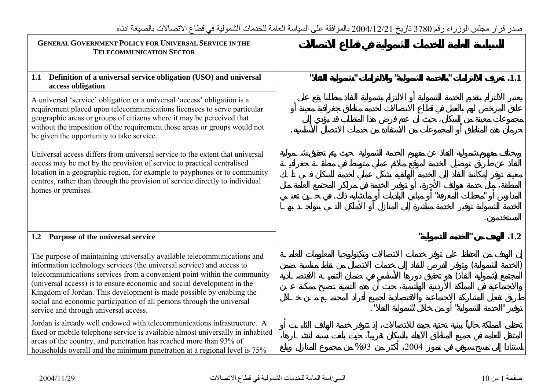| <b>GENERAL GOVERNMENT POLICY FOR UNIVERSAL SERVICE IN THE</b><br><b>TELECOMMUNICATION SECTOR</b>                                                                                                                                                                                                                                                                                                                                                                                                                  |              |              |                |      |              |             |      |
|-------------------------------------------------------------------------------------------------------------------------------------------------------------------------------------------------------------------------------------------------------------------------------------------------------------------------------------------------------------------------------------------------------------------------------------------------------------------------------------------------------------------|--------------|--------------|----------------|------|--------------|-------------|------|
| 1.1 Definition of a universal service obligation (USO) and universal<br>access obligation                                                                                                                                                                                                                                                                                                                                                                                                                         | $\mathbf{u}$ | $\mathbf{u}$ | $\mathbf{u}$ . |      | $\mathbf{u}$ |             | .1.1 |
| A universal 'service' obligation or a universal 'access' obligation is a<br>requirement placed upon telecommunications licensees to serve particular<br>geographic areas or groups of citizens where it may be perceived that<br>without the imposition of the requirement those areas or groups would not<br>be given the opportunity to take service.<br>Universal access differs from universal service to the extent that universal<br>access may be met by the provision of service to practical centralised |              |              |                |      |              |             |      |
| location in a geographic region, for example to payphones or to community<br>centres, rather than through the provision of service directly to individual<br>homes or premises.                                                                                                                                                                                                                                                                                                                                   |              |              |                |      |              |             |      |
| 1.2 Purpose of the universal service                                                                                                                                                                                                                                                                                                                                                                                                                                                                              |              |              |                | ш    |              | $\mathbf u$ | .1.2 |
| The purpose of maintaining universally available telecommunications and<br>information technology services (the universal service) and access to<br>telecommunications services from a convenient point within the community<br>(universal access) is to ensure economic and social development in the<br>Kingdom of Jordan. This development is made possible by enabling the<br>social and economic participation of all persons through the universal<br>service and through universal access.                 |              |              |                |      |              |             |      |
| Jordan is already well endowed with telecommunications infrastructure. A<br>fixed or mobile telephone service is available almost universally in inhabited<br>areas of the country, and penetration has reached more than 93% of<br>households overall and the minimum penetration at a regional level is 75%                                                                                                                                                                                                     |              | %93          |                | 2004 |              |             |      |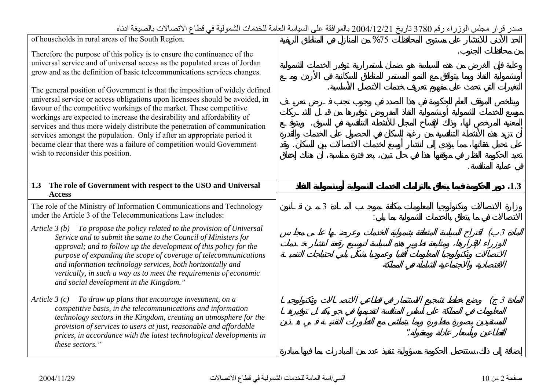| of households in rural areas of the South Region.                                                                                                                                                                                                                                                                                                                                                                                                                                                                                                                                   |   | %75 |                         |
|-------------------------------------------------------------------------------------------------------------------------------------------------------------------------------------------------------------------------------------------------------------------------------------------------------------------------------------------------------------------------------------------------------------------------------------------------------------------------------------------------------------------------------------------------------------------------------------|---|-----|-------------------------|
| Therefore the purpose of this policy is to ensure the continuance of the<br>universal service and of universal access as the populated areas of Jordan<br>grow and as the definition of basic telecommunications services changes.                                                                                                                                                                                                                                                                                                                                                  |   |     |                         |
| The general position of Government is that the imposition of widely defined<br>universal service or access obligations upon licensees should be avoided, in<br>favour of the competitive workings of the market. These competitive<br>workings are expected to increase the desirability and affordability of<br>services and thus more widely distribute the penetration of communication<br>services amongst the population. Only if after an appropriate period it<br>became clear that there was a failure of competition would Government<br>wish to reconsider this position. |   |     |                         |
| The role of Government with respect to the USO and Universal<br>1.3<br><b>Access</b>                                                                                                                                                                                                                                                                                                                                                                                                                                                                                                |   |     | .1.3                    |
| The role of the Ministry of Information Communications and Technology<br>under the Article 3 of the Telecommunications Law includes:                                                                                                                                                                                                                                                                                                                                                                                                                                                | 3 |     |                         |
| Article $3(b)$ To propose the policy related to the provision of Universal<br>Service and to submit the same to the Council of Ministers for<br>approval; and to follow up the development of this policy for the<br>purpose of expanding the scope of coverage of telecommunications<br>and information technology services, both horizontally and<br>vertically, in such a way as to meet the requirements of economic<br>and social development in the Kingdom."                                                                                                                 |   |     | $\mathfrak{Z}$          |
| To draw up plans that encourage investment, on a<br>Article $3(c)$<br>competitive basis, in the telecommunications and information<br>technology sectors in the Kingdom, creating an atmosphere for the<br>provision of services to users at just, reasonable and affordable<br>prices, in accordance with the latest technological developments in<br>these sectors."                                                                                                                                                                                                              |   |     | $\overline{\mathbf{3}}$ |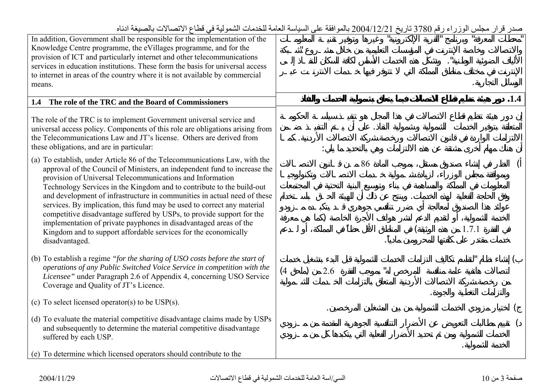| <del>ر پر</del> سی                                                                                                                                                                                                                                                                                                                                                        |            |       |
|---------------------------------------------------------------------------------------------------------------------------------------------------------------------------------------------------------------------------------------------------------------------------------------------------------------------------------------------------------------------------|------------|-------|
| In addition, Government shall be responsible for the implementation of the<br>Knowledge Centre programme, the eVillages programme, and for the<br>provision of ICT and particularly internet and other telecommunications                                                                                                                                                 |            |       |
| services in education institutions. These form the basis for universal access<br>to internet in areas of the country where it is not available by commercial                                                                                                                                                                                                              |            |       |
| means.                                                                                                                                                                                                                                                                                                                                                                    |            |       |
| The role of the TRC and the Board of Commissioners<br>1.4                                                                                                                                                                                                                                                                                                                 |            | .1.4  |
| The role of the TRC is to implement Government universal service and<br>universal access policy. Components of this role are obligations arising from<br>the Telecommunications Law and JT's license. Others are derived from<br>these obligations, and are in particular:                                                                                                |            |       |
| (a) To establish, under Article 86 of the Telecommunications Law, with the<br>approval of the Council of Ministers, an independent fund to increase the<br>provision of Universal Telecommunications and Information<br>Technology Services in the Kingdom and to contribute to the build-out<br>and development of infrastructure in communities in actual need of these | 86         |       |
| services. By implication, this fund may be used to correct any material<br>competitive disadvantage suffered by USPs, to provide support for the<br>implementation of private payphones in disadvantaged areas of the<br>Kingdom and to support affordable services for the economically<br>disadvantaged.                                                                |            | 1.7.1 |
| (b) To establish a regime "for the sharing of USO costs before the start of<br>operations of any Public Switched Voice Service in competition with the<br><i>Licensee</i> " under Paragraph 2.6 of Appendix 4, concerning USO Service<br>Coverage and Quality of JT's Licence.                                                                                            | (4)<br>2.6 |       |
| (c) To select licensed operator(s) to be $USP(s)$ .                                                                                                                                                                                                                                                                                                                       |            |       |
| (d) To evaluate the material competitive disadvantage claims made by USPs<br>and subsequently to determine the material competitive disadvantage<br>suffered by each USP.                                                                                                                                                                                                 |            |       |
| (e) To determine which licensed operators should contribute to the                                                                                                                                                                                                                                                                                                        |            |       |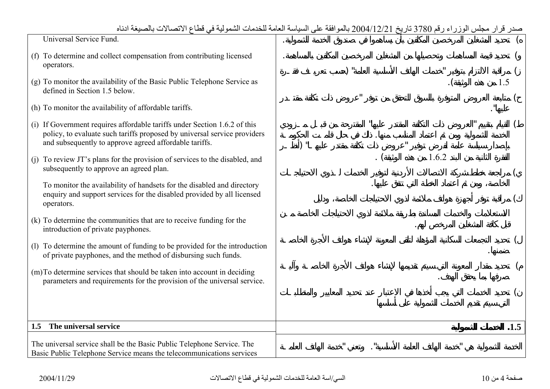| صدر قرار مجلس الوزراء رقم 3780 تاريخ 2004/12/21 بالموافقة على السياسة العامة للخدمات الشمولية في قطاع الاتصالات بالصيغة ادناه |
|-------------------------------------------------------------------------------------------------------------------------------|
|                                                                                                                               |

| Universal Service Fund.                                                                                                                                                                                         |     |     |       |      |
|-----------------------------------------------------------------------------------------------------------------------------------------------------------------------------------------------------------------|-----|-----|-------|------|
| (f) To determine and collect compensation from contributing licensed<br>operators.                                                                                                                              |     | י \ |       |      |
| (g) To monitor the availability of the Basic Public Telephone Service as<br>defined in Section 1.5 below.                                                                                                       |     |     |       | 1.5  |
| (h) To monitor the availability of affordable tariffs.                                                                                                                                                          |     |     |       |      |
| (i) If Government requires affordable tariffs under Section 1.6.2 of this<br>policy, to evaluate such tariffs proposed by universal service providers<br>and subsequently to approve agreed affordable tariffs. | \ " |     |       |      |
| (j) To review JT's plans for the provision of services to the disabled, and<br>subsequently to approve an agreed plan.                                                                                          |     |     | 1.6.2 |      |
| To monitor the availability of handsets for the disabled and directory<br>enquiry and support services for the disabled provided by all licensed<br>operators.                                                  |     |     |       |      |
| (k) To determine the communities that are to receive funding for the<br>introduction of private payphones.                                                                                                      |     |     |       |      |
| (1) To determine the amount of funding to be provided for the introduction<br>of private payphones, and the method of disbursing such funds.                                                                    |     |     |       |      |
| (m) To determine services that should be taken into account in deciding                                                                                                                                         |     |     |       |      |
| parameters and requirements for the provision of the universal service.                                                                                                                                         |     |     |       |      |
|                                                                                                                                                                                                                 |     |     |       |      |
| The universal service<br>1.5                                                                                                                                                                                    |     |     |       | .1.5 |
| The universal service shall be the Basic Public Telephone Service. The<br>Basic Public Telephone Service means the telecommunications services                                                                  |     |     |       |      |

 $\Gamma$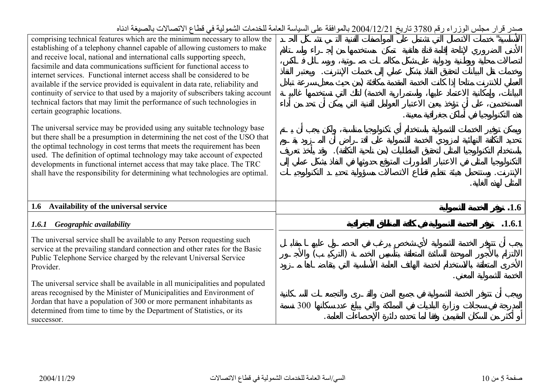| comprising technical features which are the minimum necessary to allow the<br>establishing of a telephony channel capable of allowing customers to make<br>and receive local, national and international calls supporting speech,<br>facsimile and data communications sufficient for functional access to<br>internet services. Functional internet access shall be considered to be<br>available if the service provided is equivalent in data rate, reliability and<br>continuity of service to that used by a majority of subscribers taking account<br>technical factors that may limit the performance of such technologies in<br>certain geographic locations. |        |
|-----------------------------------------------------------------------------------------------------------------------------------------------------------------------------------------------------------------------------------------------------------------------------------------------------------------------------------------------------------------------------------------------------------------------------------------------------------------------------------------------------------------------------------------------------------------------------------------------------------------------------------------------------------------------|--------|
| The universal service may be provided using any suitable technology base<br>but there shall be a presumption in determining the net cost of the USO that<br>the optimal technology in cost terms that meets the requirement has been<br>used. The definition of optimal technology may take account of expected<br>developments in functional internet access that may take place. The TRC<br>shall have the responsibility for determining what technologies are optimal.                                                                                                                                                                                            |        |
| Availability of the universal service<br>1.6                                                                                                                                                                                                                                                                                                                                                                                                                                                                                                                                                                                                                          | .1.6   |
| Geographic availability<br>1.6.1                                                                                                                                                                                                                                                                                                                                                                                                                                                                                                                                                                                                                                      | .1.6.1 |
| The universal service shall be available to any Person requesting such<br>service at the prevailing standard connection and other rates for the Basic<br>Public Telephone Service charged by the relevant Universal Service<br>Provider.                                                                                                                                                                                                                                                                                                                                                                                                                              |        |
| The universal service shall be available in all municipalities and populated<br>areas recognised by the Minister of Municipalities and Environment of<br>Jordan that have a population of 300 or more permanent inhabitants as<br>determined from time to time by the Department of Statistics, or its<br>successor.                                                                                                                                                                                                                                                                                                                                                  | 300    |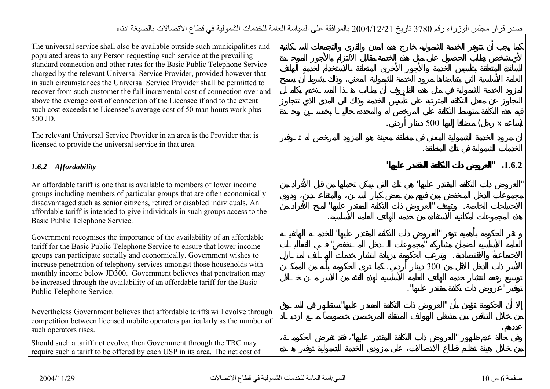| The universal service shall also be available outside such municipalities and<br>populated areas to any Person requesting such service at the prevailing<br>standard connection and other rates for the Basic Public Telephone Service<br>charged by the relevant Universal Service Provider, provided however that<br>in such circumstances the Universal Service Provider shall be permitted to<br>recover from such customer the full incremental cost of connection over and<br>above the average cost of connection of the Licensee if and to the extent<br>such cost exceeds the Licensee's average cost of 50 man hours work plus<br>500 JD.<br>The relevant Universal Service Provider in an area is the Provider that is<br>licensed to provide the universal service in that area. | 500<br>$\mathbf{X}$ |
|----------------------------------------------------------------------------------------------------------------------------------------------------------------------------------------------------------------------------------------------------------------------------------------------------------------------------------------------------------------------------------------------------------------------------------------------------------------------------------------------------------------------------------------------------------------------------------------------------------------------------------------------------------------------------------------------------------------------------------------------------------------------------------------------|---------------------|
| 1.6.2 Affordability                                                                                                                                                                                                                                                                                                                                                                                                                                                                                                                                                                                                                                                                                                                                                                          | .1.6.2              |
|                                                                                                                                                                                                                                                                                                                                                                                                                                                                                                                                                                                                                                                                                                                                                                                              |                     |
| An affordable tariff is one that is available to members of lower income<br>groups including members of particular groups that are often economically<br>disadvantaged such as senior citizens, retired or disabled individuals. An<br>affordable tariff is intended to give individuals in such groups access to the<br>Basic Public Telephone Service.                                                                                                                                                                                                                                                                                                                                                                                                                                     |                     |
| Government recognises the importance of the availability of an affordable<br>tariff for the Basic Public Telephone Service to ensure that lower income<br>groups can participate socially and economically. Government wishes to                                                                                                                                                                                                                                                                                                                                                                                                                                                                                                                                                             |                     |
| increase penetration of telephony services amongst those households with<br>monthly income below JD300. Government believes that penetration may<br>be increased through the availability of an affordable tariff for the Basic<br>Public Telephone Service.                                                                                                                                                                                                                                                                                                                                                                                                                                                                                                                                 | 300                 |
| Nevertheless Government believes that affordable tariffs will evolve through<br>competition between licensed mobile operators particularly as the number of<br>such operators rises.                                                                                                                                                                                                                                                                                                                                                                                                                                                                                                                                                                                                         |                     |
| Should such a tariff not evolve, then Government through the TRC may<br>require such a tariff to be offered by each USP in its area. The net cost of                                                                                                                                                                                                                                                                                                                                                                                                                                                                                                                                                                                                                                         |                     |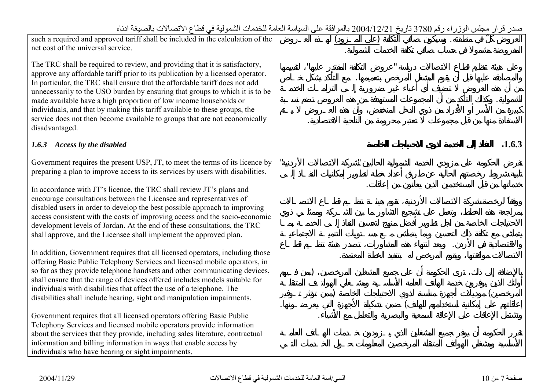| such a required and approved tariff shall be included in the calculation of the                                                                   |  |  |        |
|---------------------------------------------------------------------------------------------------------------------------------------------------|--|--|--------|
| net cost of the universal service.                                                                                                                |  |  |        |
| The TRC shall be required to review, and providing that it is satisfactory,                                                                       |  |  |        |
| approve any affordable tariff prior to its publication by a licensed operator.                                                                    |  |  |        |
| In particular, the TRC shall ensure that the affordable tariff does not add                                                                       |  |  |        |
| unnecessarily to the USO burden by ensuring that groups to which it is to be<br>made available have a high proportion of low income households or |  |  |        |
| individuals, and that by making this tariff available to these groups, the                                                                        |  |  |        |
| service does not then become available to groups that are not economically                                                                        |  |  |        |
| disadvantaged.                                                                                                                                    |  |  |        |
| 1.6.3 Access by the disabled                                                                                                                      |  |  | .1.6.3 |
|                                                                                                                                                   |  |  |        |
| Government requires the present USP, JT, to meet the terms of its licence by                                                                      |  |  |        |
| preparing a plan to improve access to its services by users with disabilities.                                                                    |  |  |        |
| In accordance with JT's licence, the TRC shall review JT's plans and                                                                              |  |  |        |
| encourage consultations between the Licensee and representatives of                                                                               |  |  |        |
| disabled users in order to develop the best possible approach to improving                                                                        |  |  |        |
| access consistent with the costs of improving access and the socio-economic                                                                       |  |  |        |
| development levels of Jordan. At the end of these consultations, the TRC                                                                          |  |  |        |
| shall approve, and the Licensee shall implement the approved plan.                                                                                |  |  |        |
| In addition, Government requires that all licensed operators, including those                                                                     |  |  |        |
| offering Basic Public Telephony Services and licensed mobile operators, in                                                                        |  |  |        |
| so far as they provide telephone handsets and other communicating devices,                                                                        |  |  |        |
| shall ensure that the range of devices offered includes models suitable for                                                                       |  |  |        |
| individuals with disabilities that affect the use of a telephone. The                                                                             |  |  |        |
| disabilities shall include hearing, sight and manipulation impairments.                                                                           |  |  |        |
| Government requires that all licensed operators offering Basic Public                                                                             |  |  |        |
| Telephony Services and licensed mobile operators provide information                                                                              |  |  |        |
| about the services that they provide, including sales literature, contractual                                                                     |  |  |        |
| information and billing information in ways that enable access by                                                                                 |  |  |        |
| individuals who have hearing or sight impairments.                                                                                                |  |  |        |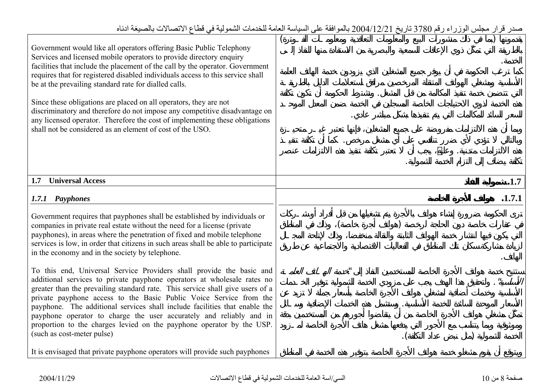| Government would like all operators offering Basic Public Telephony<br>Services and licensed mobile operators to provide directory enquiry<br>facilities that include the placement of the call by the operator. Government<br>requires that for registered disabled individuals access to this service shall<br>be at the prevailing standard rate for dialled calls.<br>Since these obligations are placed on all operators, they are not<br>discriminatory and therefore do not impose any competitive disadvantage on<br>any licensed operator. Therefore the cost of implementing these obligations<br>shall not be considered as an element of cost of the USO. |         |
|-----------------------------------------------------------------------------------------------------------------------------------------------------------------------------------------------------------------------------------------------------------------------------------------------------------------------------------------------------------------------------------------------------------------------------------------------------------------------------------------------------------------------------------------------------------------------------------------------------------------------------------------------------------------------|---------|
| <b>Universal Access</b><br>1.7                                                                                                                                                                                                                                                                                                                                                                                                                                                                                                                                                                                                                                        | .1.7    |
| 1.7.1 Payphones                                                                                                                                                                                                                                                                                                                                                                                                                                                                                                                                                                                                                                                       | .1.7.1  |
| Government requires that payphones shall be established by individuals or<br>companies in private real estate without the need for a license (private<br>payphones), in areas where the penetration of fixed and mobile telephone<br>services is low, in order that citizens in such areas shall be able to participate<br>in the economy and in the society by telephone.                                                                                                                                                                                                                                                                                            |         |
| To this end, Universal Service Providers shall provide the basic and<br>additional services to private payphone operators at wholesale rates no<br>greater than the prevailing standard rate. This service shall give users of a<br>private payphone access to the Basic Public Voice Service from the<br>payphone. The additional services shall include facilities that enable the<br>payphone operator to charge the user accurately and reliably and in<br>proportion to the charges levied on the payphone operator by the USP.<br>(such as cost-meter pulse)                                                                                                    | $\cdot$ |
| It is envisaged that private payphone operators will provide such payphones                                                                                                                                                                                                                                                                                                                                                                                                                                                                                                                                                                                           |         |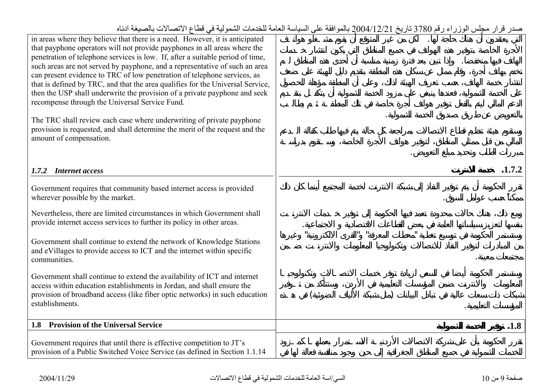| in areas where they believe that there is a need. However, it is anticipated<br>that payphone operators will not provide payphones in all areas where the<br>penetration of telephone services is low. If, after a suitable period of time,<br>such areas are not served by payphone, and a representative of such an area<br>can present evidence to TRC of low penetration of telephone services, as<br>that is defined by TRC, and that the area qualifies for the Universal Service,<br>then the USP shall underwrite the provision of a private payphone and seek<br>recompense through the Universal Service Fund.<br>The TRC shall review each case where underwriting of private payphone<br>provision is requested, and shall determine the merit of the request and the<br>amount of compensation. |        |      |
|--------------------------------------------------------------------------------------------------------------------------------------------------------------------------------------------------------------------------------------------------------------------------------------------------------------------------------------------------------------------------------------------------------------------------------------------------------------------------------------------------------------------------------------------------------------------------------------------------------------------------------------------------------------------------------------------------------------------------------------------------------------------------------------------------------------|--------|------|
| <b>Internet access</b><br>1.7.2                                                                                                                                                                                                                                                                                                                                                                                                                                                                                                                                                                                                                                                                                                                                                                              | .1.7.2 |      |
| Government requires that community based internet access is provided<br>wherever possible by the market.                                                                                                                                                                                                                                                                                                                                                                                                                                                                                                                                                                                                                                                                                                     |        |      |
| Nevertheless, there are limited circumstances in which Government shall<br>provide internet access services to further its policy in other areas.                                                                                                                                                                                                                                                                                                                                                                                                                                                                                                                                                                                                                                                            |        |      |
| Government shall continue to extend the network of Knowledge Stations<br>and eVillages to provide access to ICT and the internet within specific<br>communities.                                                                                                                                                                                                                                                                                                                                                                                                                                                                                                                                                                                                                                             |        |      |
| Government shall continue to extend the availability of ICT and internet<br>access within education establishments in Jordan, and shall ensure the<br>provision of broadband access (like fiber optic networks) in such education<br>establishments.                                                                                                                                                                                                                                                                                                                                                                                                                                                                                                                                                         |        |      |
| 1.8 Provision of the Universal Service                                                                                                                                                                                                                                                                                                                                                                                                                                                                                                                                                                                                                                                                                                                                                                       |        | .1.8 |
| Government requires that until there is effective competition to JT's<br>provision of a Public Switched Voice Service (as defined in Section 1.1.14                                                                                                                                                                                                                                                                                                                                                                                                                                                                                                                                                                                                                                                          |        |      |